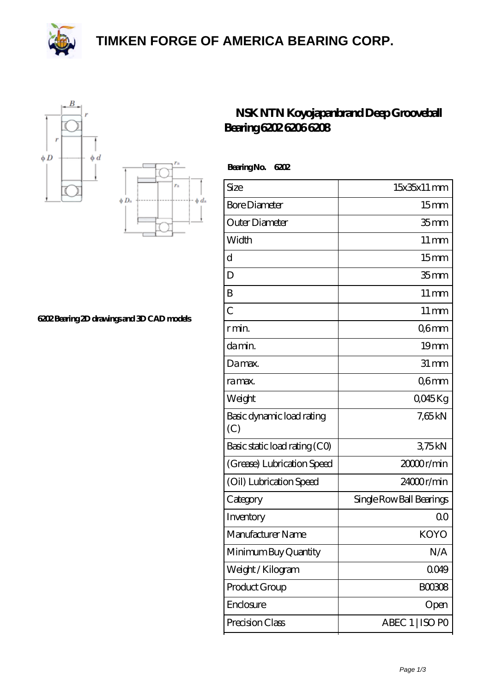**[TIMKEN FORGE OF AMERICA BEARING CORP.](https://black-forest-adventures.de)**







## **[6202 Bearing 2D drawings and 3D CAD models](https://black-forest-adventures.de/pic-807330.html)**

## **[NSK NTN Koyojapanbrand Deep Grooveball](https://black-forest-adventures.de/koyo-6202-bearing/) [Bearing 6202 6206 6208](https://black-forest-adventures.de/koyo-6202-bearing/)**

| <b>BearingNo.</b><br>6202        |                          |
|----------------------------------|--------------------------|
| Size                             | 15x35x11 mm              |
| <b>Bore Diameter</b>             | 15 <sub>mm</sub>         |
| Outer Diameter                   | 35 <sub>mm</sub>         |
| Width                            | $11 \,\mathrm{mm}$       |
| d                                | 15 <sub>mm</sub>         |
| D                                | 35 <sub>mm</sub>         |
| B                                | $11 \,\mathrm{mm}$       |
| $\overline{C}$                   | $11 \,\mathrm{mm}$       |
| r min.                           | Q6mm                     |
| da min.                          | 19 <sub>mm</sub>         |
| Damax.                           | $31 \, \text{mm}$        |
| ra max.                          | Q6mm                     |
| Weight                           | QO45Kg                   |
| Basic dynamic load rating<br>(C) | 7,65kN                   |
| Basic static load rating (CO)    | 375kN                    |
| (Grease) Lubrication Speed       | 2000 <sub>r/min</sub>    |
| (Oil) Lubrication Speed          | 24000r/min               |
| Category                         | Single Row Ball Bearings |
| Inventory                        | 0 <sup>0</sup>           |
| Manufacturer Name                | KOYO                     |
| Minimum Buy Quantity             | N/A                      |
| Weight / Kilogram                | 0049                     |
| Product Group                    | <b>BOO3O8</b>            |
| Enclosure                        | Open                     |
| Precision Class                  | ABEC 1   ISO PO          |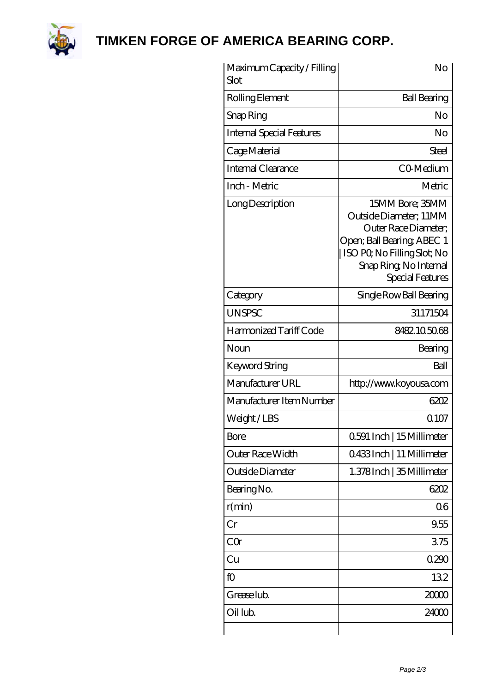

**[TIMKEN FORGE OF AMERICA BEARING CORP.](https://black-forest-adventures.de)**

| Maximum Capacity / Filling<br><b>Slot</b> | No                                                                                                                                                                          |
|-------------------------------------------|-----------------------------------------------------------------------------------------------------------------------------------------------------------------------------|
| Rolling Element                           | <b>Ball Bearing</b>                                                                                                                                                         |
| Snap Ring                                 | No                                                                                                                                                                          |
| <b>Internal Special Features</b>          | No                                                                                                                                                                          |
| Cage Material                             | Steel                                                                                                                                                                       |
| <b>Internal Clearance</b>                 | CO-Medium                                                                                                                                                                   |
| Inch - Metric                             | Metric                                                                                                                                                                      |
| Long Description                          | 15MM Bore; 35MM<br>Outside Diameter; 11MM<br>Outer Race Diameter:<br>Open; Ball Bearing; ABEC 1<br>ISO PQ No Filling Slot; No<br>Snap Ring, No Internal<br>Special Features |
| Category                                  | Single Row Ball Bearing                                                                                                                                                     |
| <b>UNSPSC</b>                             | 31171504                                                                                                                                                                    |
| Harmonized Tariff Code                    | 8482105068                                                                                                                                                                  |
| Noun                                      | Bearing                                                                                                                                                                     |
| <b>Keyword String</b>                     | Ball                                                                                                                                                                        |
| Manufacturer URL                          | http://www.koyousa.com                                                                                                                                                      |
| Manufacturer Item Number                  | 6202                                                                                                                                                                        |
| Weight/LBS                                | 0107                                                                                                                                                                        |
| <b>Bore</b>                               | 0.591 Inch   15 Millimeter                                                                                                                                                  |
| Outer Race Width                          | 0433Inch   11 Millimeter                                                                                                                                                    |
| Outside Diameter                          | 1.378Inch   35 Millimeter                                                                                                                                                   |
| Bearing No.                               | 6202                                                                                                                                                                        |
| r(min)                                    | 06                                                                                                                                                                          |
| Cr                                        | 9.55                                                                                                                                                                        |
| CQr                                       | 375                                                                                                                                                                         |
| Cu                                        | 0290                                                                                                                                                                        |
| fO                                        | 132                                                                                                                                                                         |
| Grease lub.                               | 2000                                                                                                                                                                        |
| Oil lub.                                  | 24000                                                                                                                                                                       |